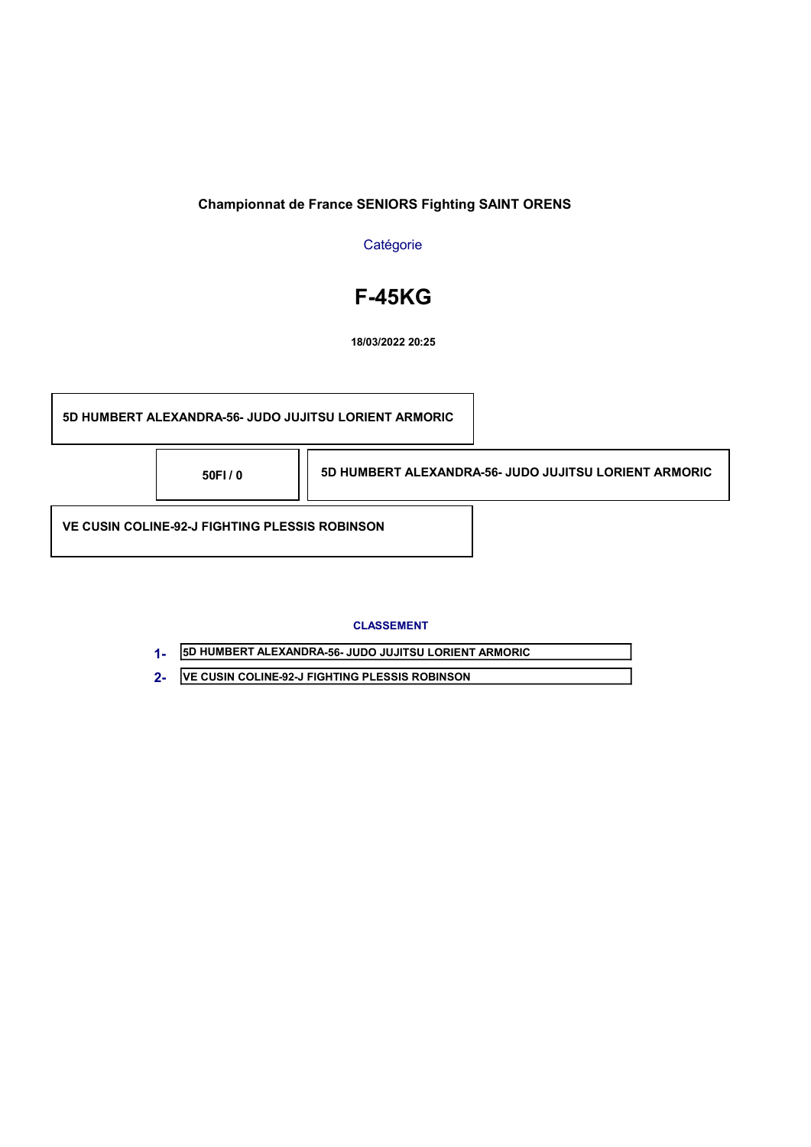**Catégorie** 

# F-45KG

18/03/2022 20:25

5D HUMBERT ALEXANDRA-56- JUDO JUJITSU LORIENT ARMORIC VE CUSIN COLINE-92-J FIGHTING PLESSIS ROBINSON 50FI / 0 5D HUMBERT ALEXANDRA-56- JUDO JUJITSU LORIENT ARMORIC

#### CLASSEMENT

1 - SD HUMBERT ALEXANDRA-56- JUDO JUJITSU LORIENT ARMORIC

2 - VE CUSIN COLINE-92-J FIGHTING PLESSIS ROBINSON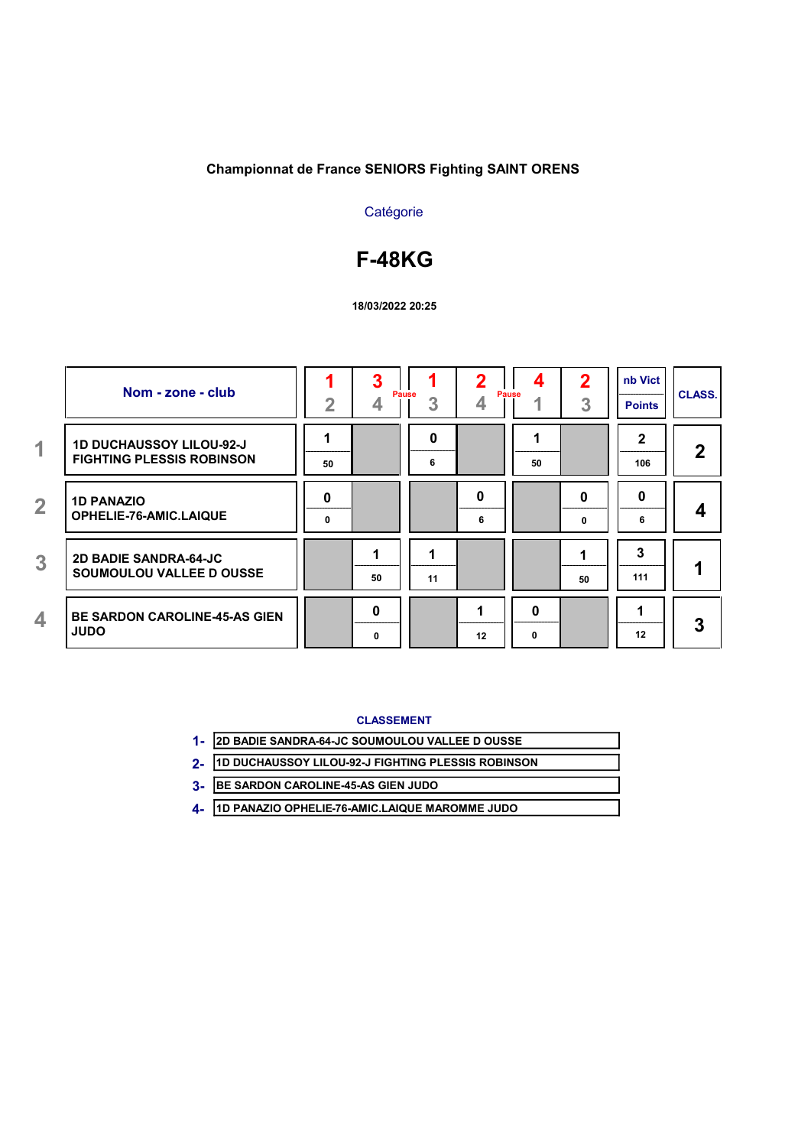**Catégorie** 

# F-48KG

18/03/2022 20:25

|                | Nom - zone - club                                                   | $\overline{2}$    | 7<br>Pause | 3      | 2<br>4        | 4<br>Pause | $\overline{2}$<br>3 | nb Vict<br><b>Points</b> | <b>CLASS.</b> |
|----------------|---------------------------------------------------------------------|-------------------|------------|--------|---------------|------------|---------------------|--------------------------|---------------|
| 1              | <b>1D DUCHAUSSOY LILOU-92-J</b><br><b>FIGHTING PLESSIS ROBINSON</b> | 50                |            | 0<br>6 |               | 50         |                     | $\mathbf{2}$<br>106      | 2             |
| $\overline{2}$ | <b>1D PANAZIO</b><br>OPHELIE-76-AMIC.LAIQUE                         | 0<br>$\mathbf{0}$ |            |        | $\bf{0}$<br>6 |            | 0<br>0              | $\bf{0}$<br>6            | 4             |
| 3              | <b>2D BADIE SANDRA-64-JC</b><br>SOUMOULOU VALLEE D OUSSE            |                   | 50         | 11     |               |            | 50                  | 3<br>111                 |               |
| 4              | <b>BE SARDON CAROLINE-45-AS GIEN</b><br><b>JUDO</b>                 |                   | 0<br>0     |        | 12            | 0<br>0     |                     | 12                       | 3             |

CLASSEMENT

- 1- 2D BADIE SANDRA-64-JC SOUMOULOU VALLEE D OUSSE
- 2- <mark>1D DUCHAUSSOY LILOU-92-J FIGHTING PLESSIS ROBINSON</mark>
- BE SARDON CAROLINE-45-AS GIEN JUDO 3-
- <u>4- HD PANAZIO OPHELIE-76-AMIC.LAIQUE MAROMME JUDO</u>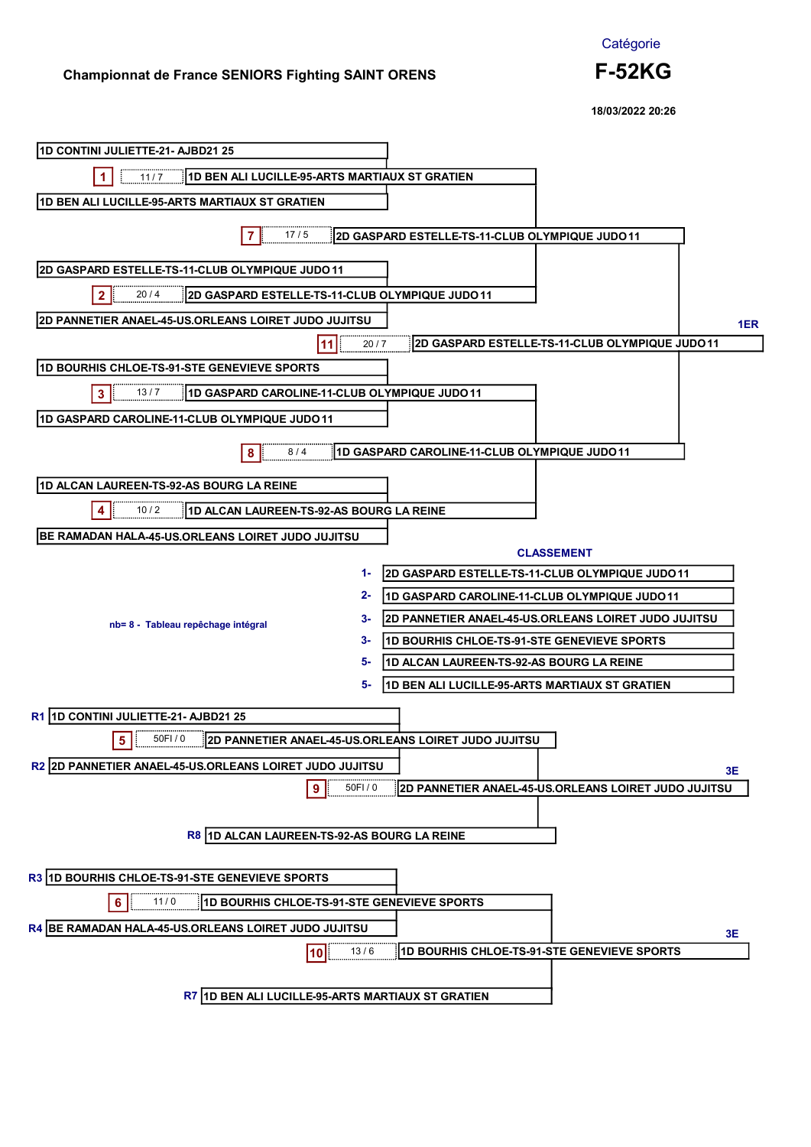

### Championnat de France SENIORS Fighting SAINT ORENS FIGHT F-52KG

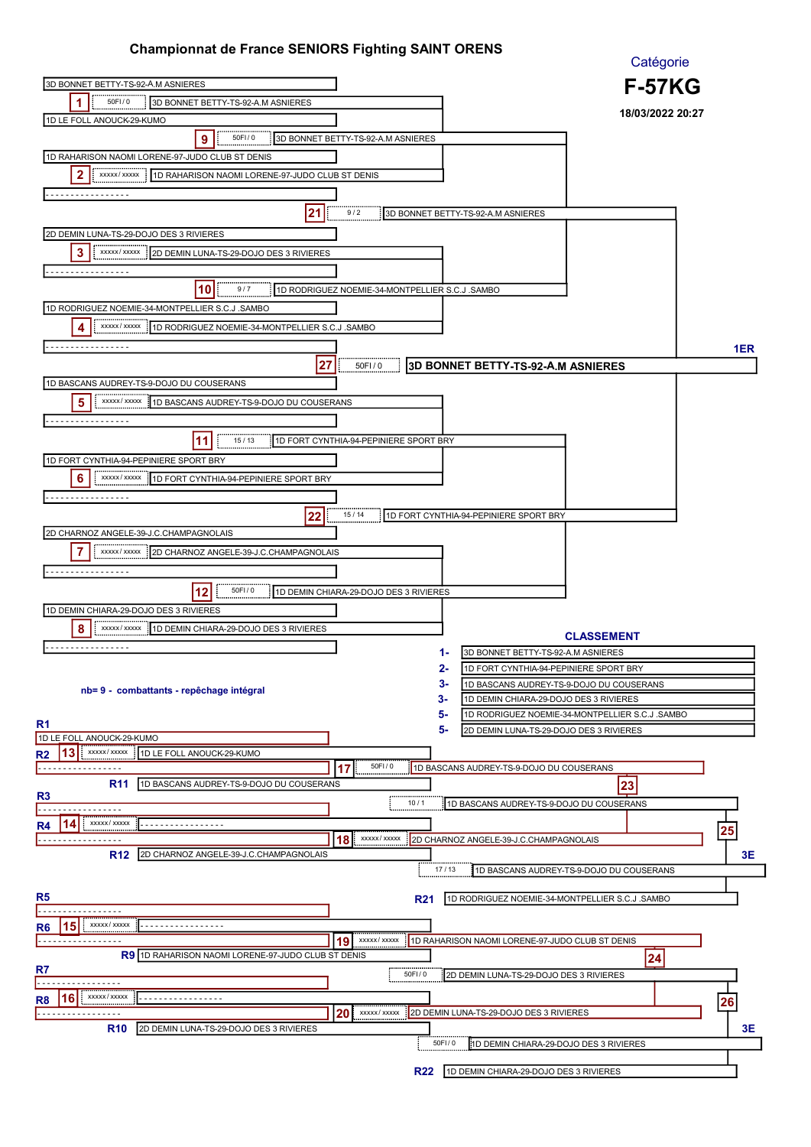| <b>Championnal de France SENIORS Fighting SAINT ORENO</b>                                                                                  | Catégorie                                                                                  |
|--------------------------------------------------------------------------------------------------------------------------------------------|--------------------------------------------------------------------------------------------|
| 3D BONNET BETTY-TS-92-A.M ASNIERES                                                                                                         | <b>F-57KG</b>                                                                              |
| 50FI/0<br>3D BONNET BETTY-TS-92-A.M ASNIERES<br>1                                                                                          |                                                                                            |
| 1D LE FOLL ANOUCK-29-KUMO                                                                                                                  | 18/03/2022 20:27                                                                           |
| 50FI/0<br>3D BONNET BETTY-TS-92-A.M ASNIERES<br>9                                                                                          |                                                                                            |
| 1D RAHARISON NAOMI LORENE-97-JUDO CLUB ST DENIS                                                                                            |                                                                                            |
| 2<br>1D RAHARISON NAOMI LORENE-97-JUDO CLUB ST DENIS<br>xxxxx/xxxxx                                                                        |                                                                                            |
|                                                                                                                                            |                                                                                            |
| 21<br>9/2<br>3D BONNET BETTY-TS-92-A.M ASNIERES                                                                                            |                                                                                            |
| 2D DEMIN LUNA-TS-29-DOJO DES 3 RIVIERES                                                                                                    |                                                                                            |
| 3<br>xxxxx/xxxxx<br>2D DEMIN LUNA-TS-29-DOJO DES 3 RIVIERES                                                                                |                                                                                            |
| ---------------                                                                                                                            |                                                                                            |
| 10<br>9/7<br>1D RODRIGUEZ NOEMIE-34-MONTPELLIER S.C.J .SAMBO                                                                               |                                                                                            |
| 1D RODRIGUEZ NOEMIE-34-MONTPELLIER S.C.J .SAMBO                                                                                            |                                                                                            |
| xxxxx/xxxxx<br>1D RODRIGUEZ NOEMIE-34-MONTPELLIER S.C.J .SAMBO<br>4                                                                        |                                                                                            |
| --------------                                                                                                                             | 1ER                                                                                        |
| 27<br>3D BONNET BETTY-TS-92-A.M ASNIERES<br>50FI/0                                                                                         |                                                                                            |
| 1D BASCANS AUDREY-TS-9-DOJO DU COUSERANS                                                                                                   |                                                                                            |
| xxxxx/xxxxx<br>5<br>1D BASCANS AUDREY-TS-9-DOJO DU COUSERANS                                                                               |                                                                                            |
| . <b>.</b> .                                                                                                                               |                                                                                            |
| 11<br>1D FORT CYNTHIA-94-PEPINIERE SPORT BRY<br>15/13                                                                                      |                                                                                            |
| 1D FORT CYNTHIA-94-PEPINIERE SPORT BRY                                                                                                     |                                                                                            |
| 6<br>xxxxx/xxxxx<br>1D FORT CYNTHIA-94-PEPINIERE SPORT BRY                                                                                 |                                                                                            |
|                                                                                                                                            |                                                                                            |
| 22<br>15/14<br>1D FORT CYNTHIA-94-PEPINIERE SPORT BRY                                                                                      |                                                                                            |
| 2D CHARNOZ ANGELE-39-J.C.CHAMPAGNOLAIS                                                                                                     |                                                                                            |
| XXXXX/XXXXX<br>2D CHARNOZ ANGELE-39-J.C.CHAMPAGNOLAIS                                                                                      |                                                                                            |
| ---------------                                                                                                                            |                                                                                            |
| 12<br>50FI/0<br>1D DEMIN CHIARA-29-DOJO DES 3 RIVIERES                                                                                     |                                                                                            |
| 1D DEMIN CHIARA-29-DOJO DES 3 RIVIERES                                                                                                     |                                                                                            |
| 8<br>1D DEMIN CHIARA-29-DOJO DES 3 RIVIERES<br>xxxxx/xxxxx                                                                                 | <b>CLASSEMENT</b>                                                                          |
| --------------<br>1-                                                                                                                       | 3D BONNET BETTY-TS-92-A.M ASNIERES                                                         |
| 2-                                                                                                                                         | 1D FORT CYNTHIA-94-PEPINIERE SPORT BRY                                                     |
| 3-<br>nb=9 - combattants - repêchage intégral                                                                                              | 1D BASCANS AUDREY-TS-9-DOJO DU COUSERANS                                                   |
| з-                                                                                                                                         | 1D DEMIN CHIARA-29-DOJO DES 3 RIVIERES                                                     |
| 5-<br>R1<br>5-                                                                                                                             | 1D RODRIGUEZ NOEMIE-34-MONTPELLIER S.C.J .SAMBO<br>2D DEMIN LUNA-TS-29-DOJO DES 3 RIVIERES |
| 1D LE FOLL ANOUCK-29-KUMO                                                                                                                  |                                                                                            |
| XXXXX/ XXXXX<br>13<br>1D LE FOLL ANOUCK-29-KUMO<br>R <sub>2</sub><br>50FI/0<br>1D BASCANS AUDREY-TS-9-DOJO DU COUSERANS<br>17<br>.         |                                                                                            |
| <b>R11</b><br>1D BASCANS AUDREY-TS-9-DOJO DU COUSERANS                                                                                     | 23                                                                                         |
| R <sub>3</sub><br>10/1                                                                                                                     | 1D BASCANS AUDREY-TS-9-DOJO DU COUSERANS                                                   |
| 14<br>xxxxx/xxxxx<br>R <sub>4</sub>                                                                                                        |                                                                                            |
| XXXXX/XXXXX<br>2D CHARNOZ ANGELE-39-J.C.CHAMPAGNOLAIS<br>18<br>. <b>.</b>                                                                  | 25                                                                                         |
| 2D CHARNOZ ANGELE-39-J.C.CHAMPAGNOLAIS<br><b>R12</b>                                                                                       | 3Е                                                                                         |
| 17/13                                                                                                                                      | 1D BASCANS AUDREY-TS-9-DOJO DU COUSERANS                                                   |
| R5<br><b>R21</b>                                                                                                                           | 1D RODRIGUEZ NOEMIE-34-MONTPELLIER S.C.J.SAMBO                                             |
|                                                                                                                                            |                                                                                            |
| XXXXX/XXXXX<br>15<br>R6                                                                                                                    |                                                                                            |
| 1D RAHARISON NAOMI LORENE-97-JUDO CLUB ST DENIS<br>XXXXX/XXXXX<br>19<br>. <b>.</b> .<br>R9 1D RAHARISON NAOMI LORENE-97-JUDO CLUB ST DENIS |                                                                                            |
| R7<br>50FI/0                                                                                                                               | 24<br>2D DEMIN LUNA-TS-29-DOJO DES 3 RIVIERES                                              |
|                                                                                                                                            |                                                                                            |
| XXXXX/XXXXX<br>R8<br>16<br>XXXXX/ XXXXX                                                                                                    | 26                                                                                         |
| 2D DEMIN LUNA-TS-29-DOJO DES 3 RIVIERES<br>20<br><b>R10</b><br>2D DEMIN LUNA-TS-29-DOJO DES 3 RIVIERES                                     | 3Е                                                                                         |
| 50FI/0                                                                                                                                     | 1D DEMIN CHIARA-29-DOJO DES 3 RIVIERES                                                     |
|                                                                                                                                            |                                                                                            |
| <b>R22</b>                                                                                                                                 | 1D DEMIN CHIARA-29-DOJO DES 3 RIVIERES                                                     |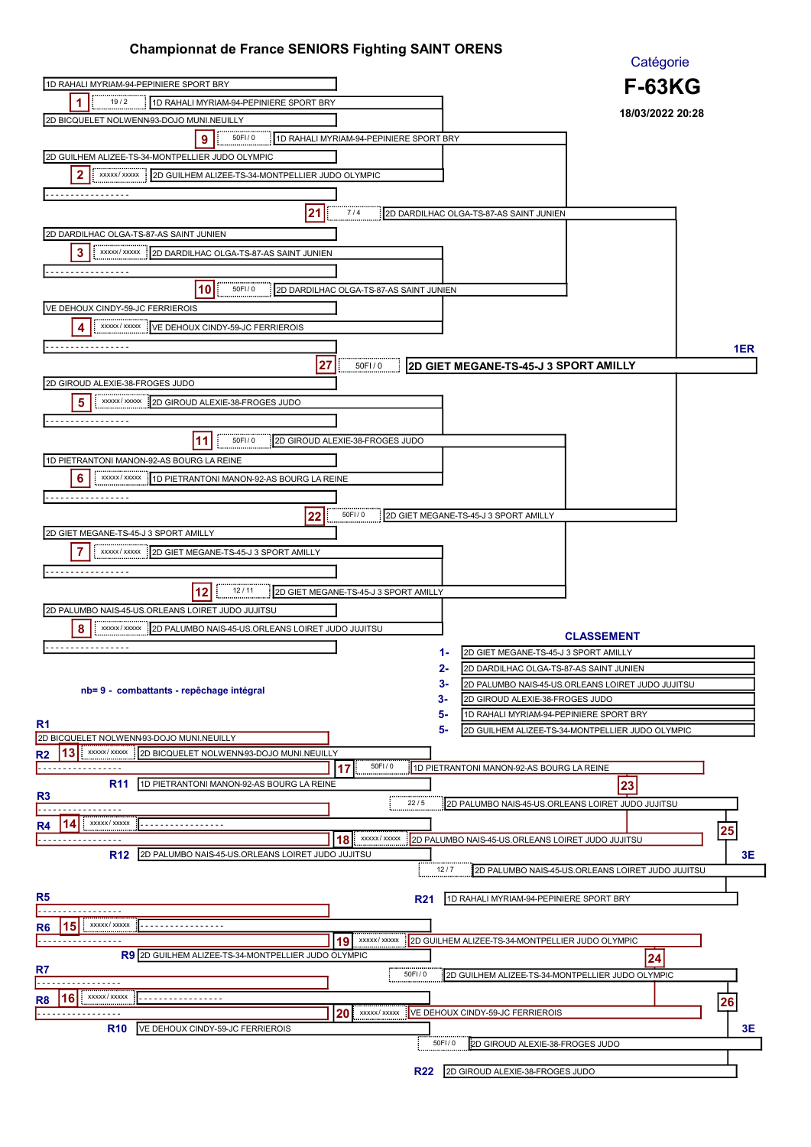| Championnal de France Sciviors Fighting SAINT ORCNS                                                                     | Catégorie                                               |
|-------------------------------------------------------------------------------------------------------------------------|---------------------------------------------------------|
| 1D RAHALI MYRIAM-94-PEPINIERE SPORT BRY                                                                                 | <b>F-63KG</b>                                           |
| 19/2<br>1D RAHALI MYRIAM-94-PEPINIERE SPORT BRY<br>1                                                                    |                                                         |
| 2D BICQUELET NOLWENN93-DOJO MUNI.NEUILLY                                                                                | 18/03/2022 20:28                                        |
| 50FI/0<br>1D RAHALI MYRIAM-94-PEPINIERE SPORT BRY<br>9                                                                  |                                                         |
| 2D GUILHEM ALIZEE-TS-34-MONTPELLIER JUDO OLYMPIC                                                                        |                                                         |
| 2<br>2D GUILHEM ALIZEE-TS-34-MONTPELLIER JUDO OLYMPIC<br>xxxxx/xxxxx                                                    |                                                         |
|                                                                                                                         |                                                         |
| 21<br>$7/4$<br>2D DARDILHAC OLGA-TS-87-AS SAINT JUNIEN                                                                  |                                                         |
| 2D DARDILHAC OLGA-TS-87-AS SAINT JUNIEN                                                                                 |                                                         |
| 3<br>xxxxx/xxxxx<br>2D DARDILHAC OLGA-TS-87-AS SAINT JUNIEN                                                             |                                                         |
| ---------------                                                                                                         |                                                         |
| 10<br>50FI/0<br>2D DARDILHAC OLGA-TS-87-AS SAINT JUNIEN                                                                 |                                                         |
| VE DEHOUX CINDY-59-JC FERRIEROIS                                                                                        |                                                         |
| xxxxx/xxxxx<br>VE DEHOUX CINDY-59-JC FERRIEROIS<br>4                                                                    |                                                         |
| -------------                                                                                                           | 1ER                                                     |
| 27<br>2D GIET MEGANE-TS-45-J 3 SPORT AMILLY<br>50FI/0                                                                   |                                                         |
| 2D GIROUD ALEXIE-38-FROGES JUDO                                                                                         |                                                         |
| xxxxx/xxxxx<br>5<br>2D GIROUD ALEXIE-38-FROGES JUDO                                                                     |                                                         |
| .                                                                                                                       |                                                         |
| 11<br>2D GIROUD ALEXIE-38-FROGES JUDO<br>50FI/0                                                                         |                                                         |
| 1D PIETRANTONI MANON-92-AS BOURG LA REINE                                                                               |                                                         |
| 6<br>xxxxx/xxxxx<br>1D PIETRANTONI MANON-92-AS BOURG LA REINE                                                           |                                                         |
|                                                                                                                         |                                                         |
| 22<br>50FI/0<br>2D GIET MEGANE-TS-45-J 3 SPORT AMILLY                                                                   |                                                         |
| 2D GIET MEGANE-TS-45-J 3 SPORT AMILLY                                                                                   |                                                         |
| xxxxx/xxxxx<br>2D GIET MEGANE-TS-45-J 3 SPORT AMILLY                                                                    |                                                         |
| .                                                                                                                       |                                                         |
| 12<br>12/11<br>2D GIET MEGANE-TS-45-J 3 SPORT AMILLY                                                                    |                                                         |
| 2D PALUMBO NAIS-45-US.ORLEANS LOIRET JUDO JUJITSU                                                                       |                                                         |
| 8<br>xxxxx/xxxxx<br>2D PALUMBO NAIS-45-US.ORLEANS LOIRET JUDO JUJITSU                                                   | <b>CLASSEMENT</b>                                       |
| --------------<br>1-<br>2D GIET MEGANE-TS-45-J 3 SPORT AMILLY                                                           |                                                         |
| $2 -$<br>2D DARDILHAC OLGA-TS-87-AS SAINT JUNIEN                                                                        |                                                         |
| 3-<br>nb=9 - combattants - repêchage intégral<br>з-<br>2D GIROUD ALEXIE-38-FROGES JUDO                                  | 2D PALUMBO NAIS-45-US.ORLEANS LOIRET JUDO JUJITSU       |
| 5-<br>1D RAHALI MYRIAM-94-PEPINIERE SPORT BRY                                                                           |                                                         |
| R1<br>5-                                                                                                                | 2D GUILHEM ALIZEE-TS-34-MONTPELLIER JUDO OLYMPIC        |
| 2D BICQUELET NOLWENN93-DOJO MUNI.NEUILLY<br>xxxxx/ xxxxx<br>2D BICQUELET NOLWENN-93-DOJO MUNI.NEUILLY<br>R <sub>2</sub> |                                                         |
| 50FI/0<br>1D PIETRANTONI MANON-92-AS BOURG LA REINE<br>17<br>$\sim$                                                     |                                                         |
| 1D PIETRANTONI MANON-92-AS BOURG LA REINE<br><b>R11</b>                                                                 | 23                                                      |
| R <sub>3</sub><br>22/5<br>2D PALUMBO NAIS-45-US.ORLEANS LOIRET JUDO JUJITSU                                             |                                                         |
| R <sub>4</sub><br>14<br>xxxxx/xxxxx                                                                                     | 25                                                      |
| xxxxx/xxxxx<br>2D PALUMBO NAIS-45-US.ORLEANS LOIRET JUDO JUJITSU<br>18<br>.                                             |                                                         |
| 2D PALUMBO NAIS-45-US.ORLEANS LOIRET JUDO JUJITSU<br><b>R12</b><br>12/7                                                 | 3Е<br>2D PALUMBO NAIS-45-US.ORLEANS LOIRET JUDO JUJITSU |
|                                                                                                                         |                                                         |
| R5<br>1D RAHALI MYRIAM-94-PEPINIERE SPORT BRY<br><b>R21</b>                                                             |                                                         |
| XXXXX/XXXXX<br>15<br>R6                                                                                                 |                                                         |
| 2D GUILHEM ALIZEE-TS-34-MONTPELLIER JUDO OLYMPIC<br>XXXXX/XXXXX<br>19<br>. <b>.</b> .                                   |                                                         |
| R9 2D GUILHEM ALIZEE-TS-34-MONTPELLIER JUDO OLYMPIC                                                                     | 24                                                      |
| R7<br>50FI/0<br>2D GUILHEM ALIZEE-TS-34-MONTPELLIER JUDO OLYMPIC                                                        |                                                         |
| XXXXX/XXXXX<br>R8<br>16                                                                                                 | 26                                                      |
| VE DEHOUX CINDY-59-JC FERRIEROIS<br>20<br>XXXXX/ XXXXX                                                                  |                                                         |
| <b>R10</b><br>VE DEHOUX CINDY-59-JC FERRIEROIS                                                                          | 3E                                                      |
| 50FI/0<br>2D GIROUD ALEXIE-38-FROGES JUDO                                                                               |                                                         |
| 2D GIROUD ALEXIE-38-FROGES JUDO<br><b>R22</b>                                                                           |                                                         |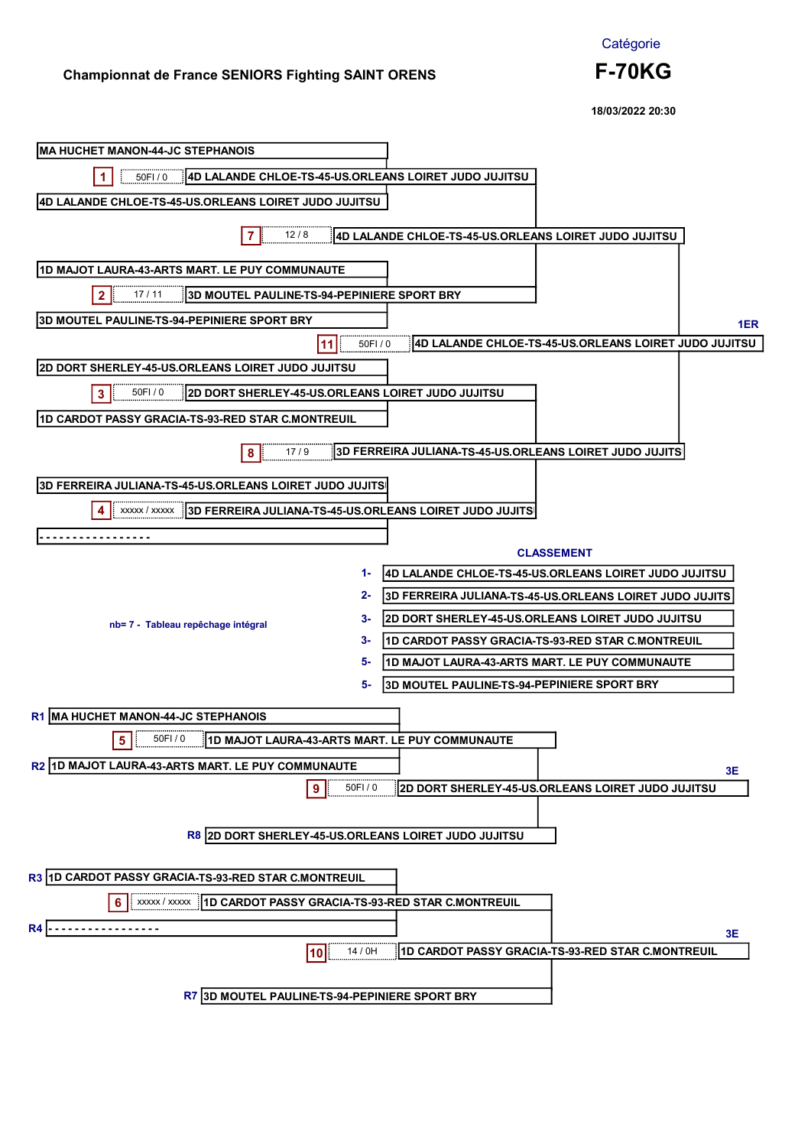

### Championnat de France SENIORS Fighting SAINT ORENS FIGHT F-70KG

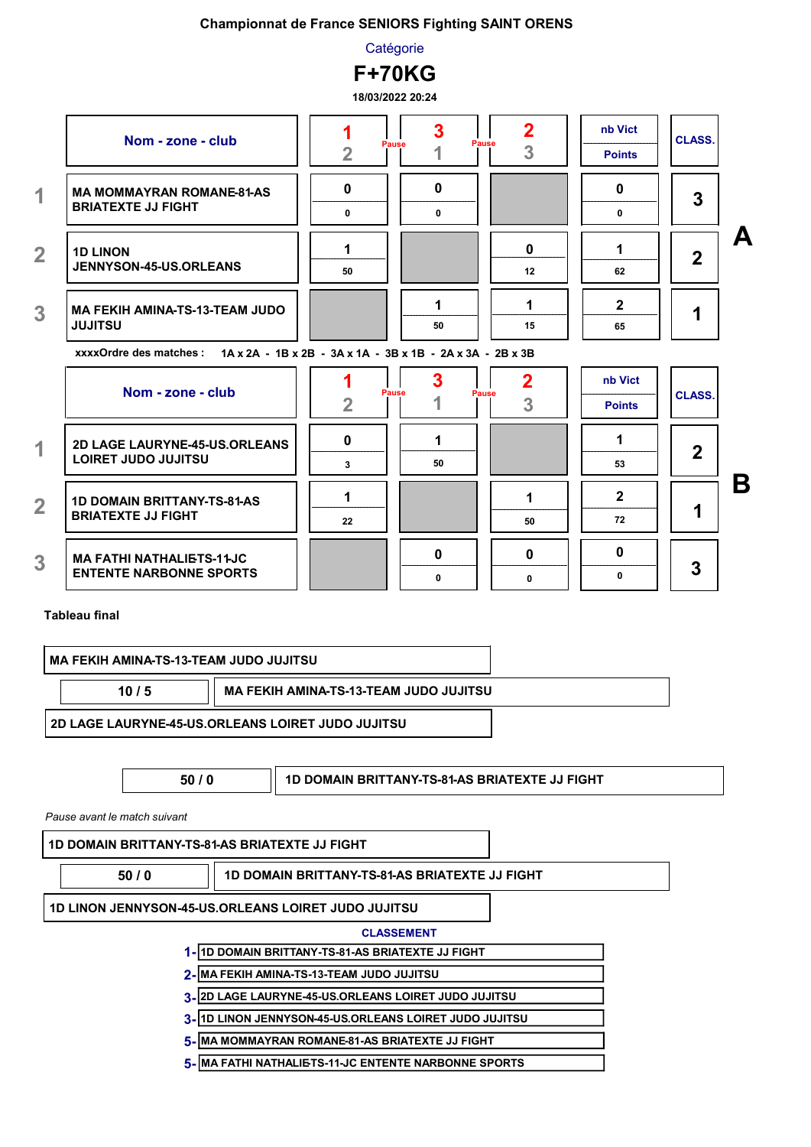**Catégorie** 



18/03/2022 20:24

| Nom - zone - club                                                  |                                                                                                                            | 1<br>$\overline{2}$         | 3<br>1            |                              | $\overline{2}$<br>3 | nb Vict<br><b>Points</b>                                                                                   | <b>CLASS.</b> |   |
|--------------------------------------------------------------------|----------------------------------------------------------------------------------------------------------------------------|-----------------------------|-------------------|------------------------------|---------------------|------------------------------------------------------------------------------------------------------------|---------------|---|
| <b>MA MOMMAYRAN ROMANE-81-AS</b><br><b>BRIATEXTE JJ FIGHT</b>      |                                                                                                                            | $\mathbf 0$<br>$\mathbf{0}$ | $\mathbf{0}$<br>0 |                              |                     | $\mathbf{0}$<br>$\mathbf{0}$                                                                               | 3             |   |
| <b>1D LINON</b><br>JENNYSON-45-US.ORLEANS                          |                                                                                                                            | 1<br>50                     |                   |                              | $\mathbf{0}$<br>12  | $\mathbf 1$<br>62                                                                                          | $\mathbf 2$   | А |
|                                                                    |                                                                                                                            |                             | 1<br>50           |                              | 1<br>15             | $\mathbf{2}$<br>65                                                                                         | 1             |   |
|                                                                    |                                                                                                                            |                             |                   |                              |                     |                                                                                                            |               |   |
| Nom - zone - club                                                  |                                                                                                                            | $\overline{2}$              | 3                 |                              | $\overline{2}$<br>3 | nb Vict<br><b>Points</b>                                                                                   | <b>CLASS.</b> |   |
| 2D LAGE LAURYNE-45-US.ORLEANS<br><b>LOIRET JUDO JUJITSU</b>        |                                                                                                                            | $\mathbf{0}$<br>3           | 1<br>50           |                              |                     | 1<br>53                                                                                                    | $\mathbf{2}$  |   |
|                                                                    |                                                                                                                            | 1<br>22                     |                   |                              | 1<br>50             | $\mathbf{2}$<br>72                                                                                         | 1             | Β |
| <b>MA FATHI NATHALIETS-11-JC</b><br><b>ENTENTE NARBONNE SPORTS</b> |                                                                                                                            |                             | 0<br>0            |                              | $\bf{0}$<br>0       | $\mathbf{0}$<br>0                                                                                          | 3             |   |
|                                                                    | <b>MA FEKIH AMINA-TS-13-TEAM JUDO</b><br><b>JUJITSU</b><br><b>1D DOMAIN BRITTANY-TS-81-AS</b><br><b>BRIATEXTE JJ FIGHT</b> |                             |                   | <b>Pause</b><br><b>Pause</b> |                     | Pause<br>xxxxOrdre des matches : 1A x 2A - 1B x 2B - 3A x 1A - 3B x 1B - 2A x 3A - 2B x 3B<br><b>Pause</b> |               |   |

10 / 5 || MA FEKIH AMINA-TS-13-TEAM JUDO JUJITSU

2D LAGE LAURYNE-45-US.ORLEANS LOIRET JUDO JUJITSU

50 / 0 1D DOMAIN BRITTANY-TS-81-AS BRIATEXTE JJ FIGHT

Pause avant le match suivant

1D DOMAIN BRITTANY-TS-81-AS BRIATEXTE JJ FIGHT

50 / 0 1D DOMAIN BRITTANY-TS-81-AS BRIATEXTE JJ FIGHT

#### 1D LINON JENNYSON-45-US.ORLEANS LOIRET JUDO JUJITSU

CLASSEMENT

- 1- 1D DOMAIN BRITTANY-TS-81-AS BRIATEXTE JJ FIGHT
- <u>2 MA FEKIH AMINA-TS-13-TEAM JUDO JUJITSU</u>
- 3-2D LAGE LAURYNE-45-US.ORLEANS LOIRET JUDO JUJITSU
- 3-11D LINON JENNYSON-45-US.ORLEANS LOIRET JUDO JUJITSU
- 5- MA MOMMAYRAN ROMANE-81-AS BRIATEXTE JJ FIGHT
- 5- MA FATHI NATHALIETS-11-JC ENTENTE NARBONNE SPORTS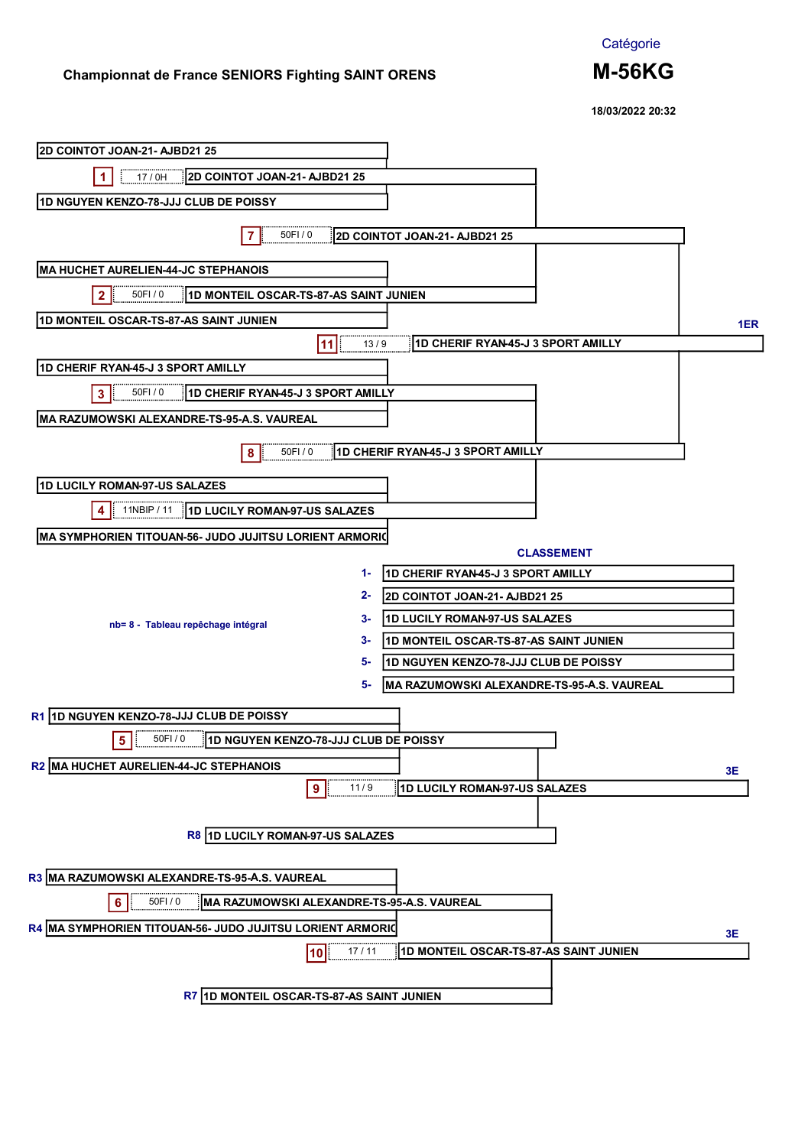

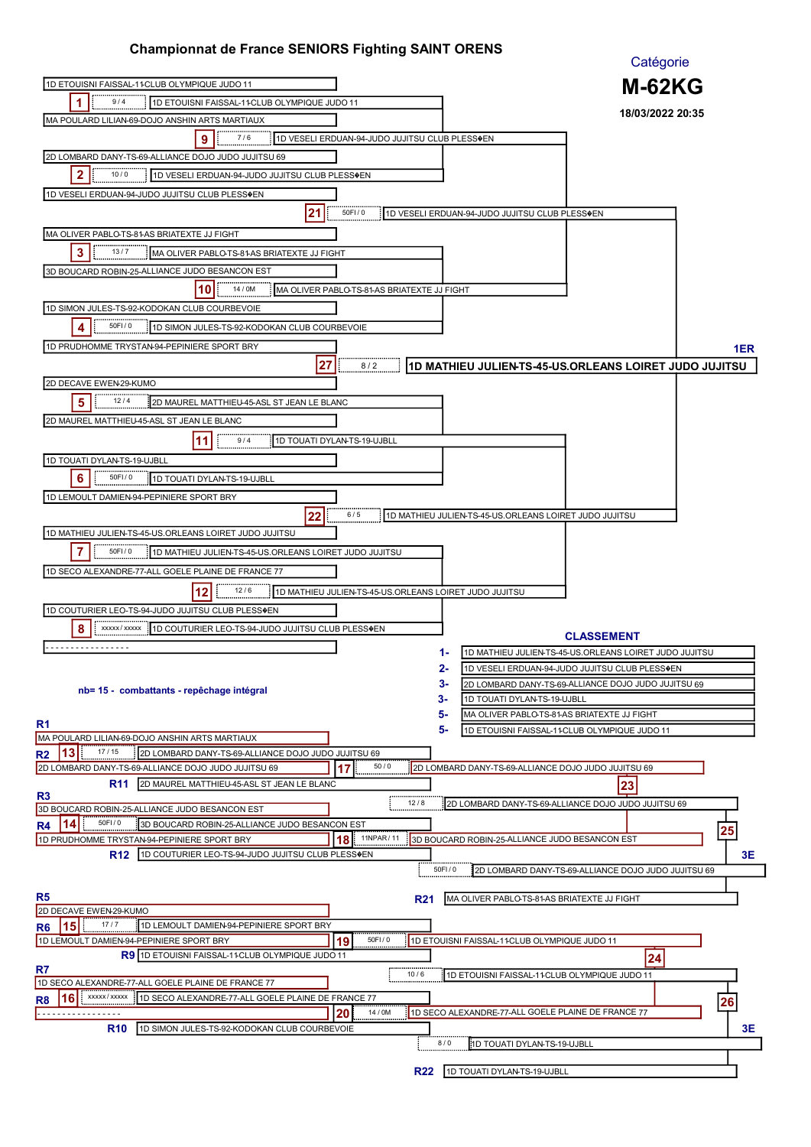|                                                                                                                |                                                        |                                                              | Catégorie                                              |
|----------------------------------------------------------------------------------------------------------------|--------------------------------------------------------|--------------------------------------------------------------|--------------------------------------------------------|
| 1D ETOUISNI FAISSAL-11-CLUB OLYMPIQUE JUDO 11                                                                  |                                                        |                                                              | <b>M-62KG</b>                                          |
| 9/4<br>1D ETOUISNI FAISSAL-11-CLUB OLYMPIQUE JUDO 11                                                           |                                                        |                                                              |                                                        |
| MA POULARD LILIAN-69-DOJO ANSHIN ARTS MARTIAUX                                                                 |                                                        |                                                              | 18/03/2022 20:35                                       |
| 7/6<br>9                                                                                                       | 1D VESELI ERDUAN-94-JUDO JUJITSU CLUB PLESSOEN         |                                                              |                                                        |
| 2D LOMBARD DANY-TS-69-ALLIANCE DOJO JUDO JUJITSU 69                                                            |                                                        |                                                              |                                                        |
| 2<br>10/0<br>1D VESELI ERDUAN-94-JUDO JUJITSU CLUB PLESSOEN                                                    |                                                        |                                                              |                                                        |
| 1D VESELI ERDUAN-94-JUDO JUJITSU CLUB PLESSOEN                                                                 |                                                        |                                                              |                                                        |
| 21                                                                                                             | 50FI/0                                                 | 1D VESELI ERDUAN-94-JUDO JUJITSU CLUB PLESSOEN               |                                                        |
| MA OLIVER PABLO-TS-81-AS BRIATEXTE JJ FIGHT                                                                    |                                                        |                                                              |                                                        |
| 3<br>13/7<br>MA OLIVER PABLO-TS-81-AS BRIATEXTE JJ FIGHT                                                       |                                                        |                                                              |                                                        |
| 3D BOUCARD ROBIN-25-ALLIANCE JUDO BESANCON EST                                                                 |                                                        |                                                              |                                                        |
| 10<br>14 / 0M                                                                                                  | MA OLIVER PABLO-TS-81-AS BRIATEXTE JJ FIGHT            |                                                              |                                                        |
| 1D SIMON JULES-TS-92-KODOKAN CLUB COURBEVOIE                                                                   |                                                        |                                                              |                                                        |
| 50FI/0<br>4<br>1D SIMON JULES-TS-92-KODOKAN CLUB COURBEVOIE                                                    |                                                        |                                                              |                                                        |
| 1D PRUDHOMME TRYSTAN-94-PEPINIERE SPORT BRY                                                                    |                                                        |                                                              |                                                        |
| 27                                                                                                             |                                                        |                                                              | 1ER                                                    |
|                                                                                                                | 8/2                                                    |                                                              | 1D MATHIEU JULIEN-TS-45-US.ORLEANS LOIRET JUDO JUJITSU |
| 2D DECAVE EWEN-29-KUMO<br>12/4                                                                                 |                                                        |                                                              |                                                        |
| 5<br>2D MAUREL MATTHIEU-45-ASL ST JEAN LE BLANC                                                                |                                                        |                                                              |                                                        |
| 2D MAUREL MATTHIEU-45-ASL ST JEAN LE BLANC                                                                     |                                                        |                                                              |                                                        |
| 11<br>9/4                                                                                                      | 1D TOUATI DYLAN-TS-19-UJBLL                            |                                                              |                                                        |
| 1D TOUATI DYLAN-TS-19-UJBLL                                                                                    |                                                        |                                                              |                                                        |
| 6<br>50FI/0<br>1D TOUATI DYLAN-TS-19-UJBLL                                                                     |                                                        |                                                              |                                                        |
| 1D LEMOULT DAMIEN-94-PEPINIERE SPORT BRY                                                                       |                                                        |                                                              |                                                        |
| 22                                                                                                             | 6/5                                                    | 1D MATHIEU JULIEN-TS-45-US.ORLEANS LOIRET JUDO JUJITSU       |                                                        |
| 1D MATHIEU JULIEN-TS-45-US.ORLEANS LOIRET JUDO JUJITSU                                                         |                                                        |                                                              |                                                        |
| 7<br>50FI/0<br>1D MATHIEU JULIEN-TS-45-US.ORLEANS LOIRET JUDO JUJITSU                                          |                                                        |                                                              |                                                        |
| 1D SECO ALEXANDRE-77-ALL GOELE PLAINE DE FRANCE 77                                                             |                                                        |                                                              |                                                        |
| 12<br>12/6                                                                                                     | 1D MATHIEU JULIEN-TS-45-US.ORLEANS LOIRET JUDO JUJITSU |                                                              |                                                        |
| 1D COUTURIER LEO-TS-94-JUDO JUJITSU CLUB PLESSOEN                                                              |                                                        |                                                              |                                                        |
| 8<br>1D COUTURIER LEO-TS-94-JUDO JUJITSU CLUB PLESSOEN<br>xxxxx/xxxxx                                          |                                                        |                                                              | <b>CLASSEMENT</b>                                      |
|                                                                                                                |                                                        | 1-<br>1D MATHIEU JULIEN-TS-45-US.ORLEANS LOIRET JUDO JUJITSU |                                                        |
|                                                                                                                |                                                        | 1D VESELI ERDUAN-94-JUDO JUJITSU CLUB PLESSOEN               |                                                        |
| nb= 15 - combattants - repêchage intégral                                                                      |                                                        | 3-<br>2D LOMBARD DANY-TS-69-ALLIANCE DOJO JUDO JUJITSU 69    |                                                        |
|                                                                                                                |                                                        | 3-<br>1D TOUATI DYLANTS-19-UJBLL                             |                                                        |
| R1                                                                                                             |                                                        | 5-<br>MA OLIVER PABLO-TS-81-AS BRIATEXTE JJ FIGHT<br>5-      |                                                        |
| MA POULARD LILIAN-69-DOJO ANSHIN ARTS MARTIAUX                                                                 |                                                        | 1D ETOUISNI FAISSAL-11CLUB OLYMPIQUE JUDO 11                 |                                                        |
| 17/15<br>13<br>2D LOMBARD DANY-TS-69-ALLIANCE DOJO JUDO JUJITSU 69<br>R2                                       | 50/0                                                   |                                                              |                                                        |
| 2D LOMBARD DANY-TS-69-ALLIANCE DOJO JUDO JUJITSU 69<br>2D MAUREL MATTHIEU-45-ASL ST JEAN LE BLANC              | 17                                                     | 2D LOMBARD DANY-TS-69-ALLIANCE DOJO JUDO JUJITSU 69          |                                                        |
| <b>R11</b><br>R <sub>3</sub>                                                                                   | 12/8                                                   | 2D LOMBARD DANY-TS-69-ALLIANCE DOJO JUDO JUJITSU 69          | 23                                                     |
| 3D BOUCARD ROBIN-25-ALLIANCE JUDO BESANCON EST                                                                 |                                                        |                                                              |                                                        |
| 50FI/0<br>3D BOUCARD ROBIN-25-ALLIANCE JUDO BESANCON EST<br>R4                                                 | 11NPAR/11                                              | 3D BOUCARD ROBIN-25-ALLIANCE JUDO BESANCON EST               | 25                                                     |
| 1D PRUDHOMME TRYSTAN-94-PEPINIERE SPORT BRY<br>1D COUTURIER LEO-TS-94-JUDO JUJITSU CLUB PLESSOEN<br><b>R12</b> | 18                                                     |                                                              | 3Е                                                     |
|                                                                                                                |                                                        | 50FI/0                                                       | 2D LOMBARD DANY-TS-69-ALLIANCE DOJO JUDO JUJITSU 69    |
|                                                                                                                |                                                        |                                                              |                                                        |
| R5<br>2D DECAVE EWEN-29-KUMO                                                                                   | <b>R21</b>                                             | MA OLIVER PABLO-TS-81-AS BRIATEXTE JJ FIGHT                  |                                                        |
| 17/7<br>1D LEMOULT DAMIEN-94-PEPINIERE SPORT BRY<br>R6<br>15                                                   |                                                        |                                                              |                                                        |
| 1D LEMOULT DAMIEN-94-PEPINIERE SPORT BRY                                                                       | 50FI/0<br>19                                           | 1D ETOUISNI FAISSAL-11CLUB OLYMPIQUE JUDO 11                 |                                                        |
| R9 1D ETOUISNI FAISSAL-11CLUB OLYMPIQUE JUDO 11                                                                |                                                        |                                                              | 24                                                     |
| R7<br>1D SECO ALEXANDRE-77-ALL GOELE PLAINE DE FRANCE 77                                                       | 10/6                                                   | 1D ETOUISNI FAISSAL-11-CLUB OLYMPIQUE JUDO 11                |                                                        |
| 1D SECO ALEXANDRE-77-ALL GOELE PLAINE DE FRANCE 77<br>XXXXX/ XXXXX<br>R8<br>16                                 |                                                        |                                                              | 26                                                     |
| .                                                                                                              | 14 / 0M<br>20                                          | 1D SECO ALEXANDRE-77-ALL GOELE PLAINE DE FRANCE 77           |                                                        |
| <b>R10</b><br>1D SIMON JULES-TS-92-KODOKAN CLUB COURBEVOIE                                                     |                                                        |                                                              | 3Е                                                     |
|                                                                                                                |                                                        | 8/0<br>1D TOUATI DYLAN-TS-19-UJBLL                           |                                                        |
|                                                                                                                | <b>R22</b>                                             | 1D TOUATI DYLAN-TS-19-UJBLL                                  |                                                        |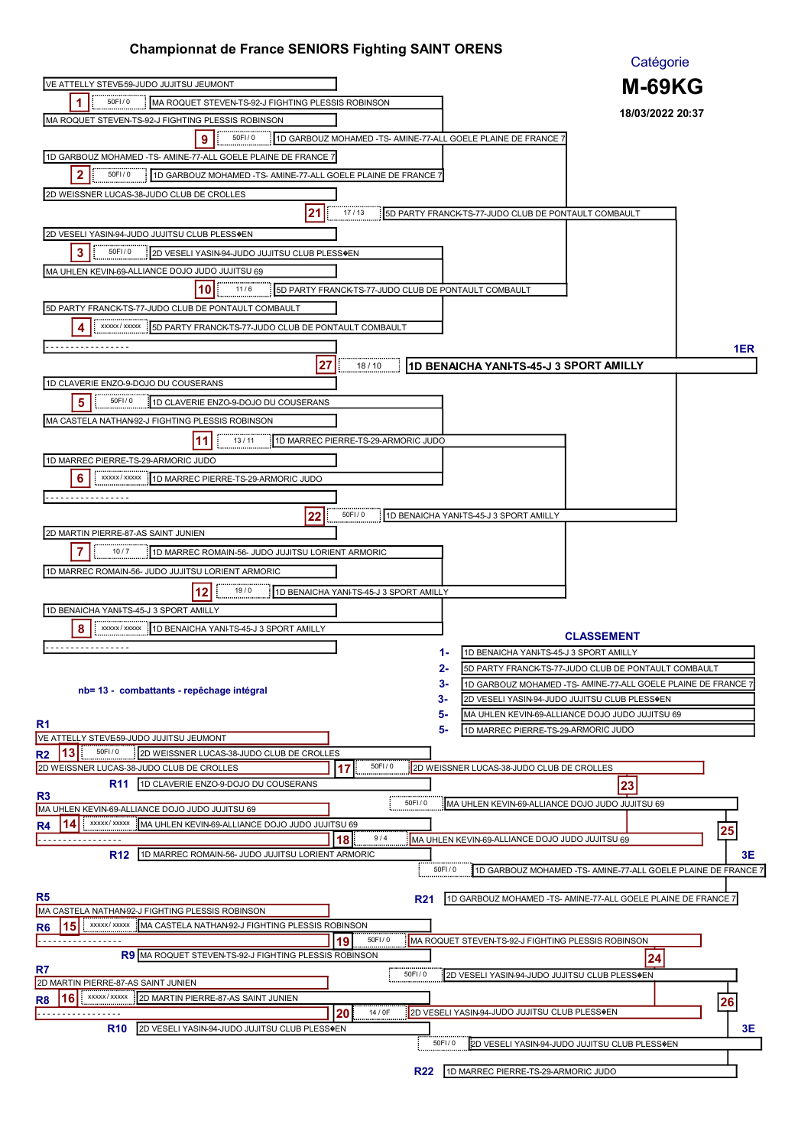|                                                                                                    |                                                      |                                                               | Catégorie                                                     |
|----------------------------------------------------------------------------------------------------|------------------------------------------------------|---------------------------------------------------------------|---------------------------------------------------------------|
| VE ATTELLY STEVE59-JUDO JUJITSU JEUMONT                                                            |                                                      |                                                               | <b>M-69KG</b>                                                 |
| 1<br>50FI/0<br>MA ROQUET STEVEN-TS-92-J FIGHTING PLESSIS ROBINSON                                  |                                                      |                                                               |                                                               |
| MA ROQUET STEVEN-TS-92-J FIGHTING PLESSIS ROBINSON                                                 |                                                      |                                                               | 18/03/2022 20:37                                              |
| 9<br>50FI/0                                                                                        |                                                      | 1D GARBOUZ MOHAMED -TS- AMINE-77-ALL GOELE PLAINE DE FRANCE 7 |                                                               |
| 1D GARBOUZ MOHAMED -TS- AMINE-77-ALL GOELE PLAINE DE FRANCE 7                                      |                                                      |                                                               |                                                               |
| $\overline{\mathbf{2}}$<br>50FI/0<br>1D GARBOUZ MOHAMED -TS- AMINE-77-ALL GOELE PLAINE DE FRANCE 7 |                                                      |                                                               |                                                               |
|                                                                                                    |                                                      |                                                               |                                                               |
| 2D WEISSNER LUCAS-38-JUDO CLUB DE CROLLES                                                          |                                                      |                                                               |                                                               |
| 21                                                                                                 | 17/13                                                | 5D PARTY FRANCK-TS-77-JUDO CLUB DE PONTAULT COMBAULT          |                                                               |
| 2D VESELI YASIN-94-JUDO JUJITSU CLUB PLESSOEN                                                      |                                                      |                                                               |                                                               |
| 3<br>50FI/0<br>2D VESELI YASIN-94-JUDO JUJITSU CLUB PLESSOEN                                       |                                                      |                                                               |                                                               |
| MA UHLEN KEVIN-69-ALLIANCE DOJO JUDO JUJITSU 69                                                    |                                                      |                                                               |                                                               |
| 10<br>11/6                                                                                         | 5D PARTY FRANCK-TS-77-JUDO CLUB DE PONTAULT COMBAULT |                                                               |                                                               |
| 5D PARTY FRANCK-TS-77-JUDO CLUB DE PONTAULT COMBAULT                                               |                                                      |                                                               |                                                               |
| XXXXX/XXXXX<br>5D PARTY FRANCK-TS-77-JUDO CLUB DE PONTAULT COMBAULT                                |                                                      |                                                               |                                                               |
|                                                                                                    |                                                      |                                                               |                                                               |
| -------------                                                                                      |                                                      |                                                               | 1ER                                                           |
|                                                                                                    | 27<br>18/10                                          | 1D BENAICHA YANI-TS-45-J 3 SPORT AMILLY                       |                                                               |
| 1D CLAVERIE ENZO-9-DOJO DU COUSERANS                                                               |                                                      |                                                               |                                                               |
| 50FI/0<br>5<br>1D CLAVERIE ENZO-9-DOJO DU COUSERANS                                                |                                                      |                                                               |                                                               |
| MA CASTELA NATHAN-92-J FIGHTING PLESSIS ROBINSON                                                   |                                                      |                                                               |                                                               |
| 11<br>13/11                                                                                        | 1D MARREC PIERRE-TS-29-ARMORIC JUDO                  |                                                               |                                                               |
| 1D MARREC PIERRE-TS-29-ARMORIC JUDO                                                                |                                                      |                                                               |                                                               |
| 6<br>XXXXX/XXXXX<br>1D MARREC PIERRE-TS-29-ARMORIC JUDO                                            |                                                      |                                                               |                                                               |
|                                                                                                    |                                                      |                                                               |                                                               |
| .                                                                                                  |                                                      |                                                               |                                                               |
| 22                                                                                                 | 50FI/0                                               | 1D BENAICHA YANITS-45-J 3 SPORT AMILLY                        |                                                               |
| 2D MARTIN PIERRE-87-AS SAINT JUNIEN                                                                |                                                      |                                                               |                                                               |
| 10/7<br>7<br>1D MARREC ROMAIN-56- JUDO JUJITSU LORIENT ARMORIC                                     |                                                      |                                                               |                                                               |
| 1D MARREC ROMAIN-56- JUDO JUJITSU LORIENT ARMORIC                                                  |                                                      |                                                               |                                                               |
| 12<br>19/0                                                                                         | 1D BENAICHA YANITS-45-J 3 SPORT AMILLY               |                                                               |                                                               |
| 1D BENAICHA YANITS-45-J 3 SPORT AMILLY                                                             |                                                      |                                                               |                                                               |
| 8<br>xxxxx/xxxxx<br>1D BENAICHA YANITS-45-J 3 SPORT AMILLY                                         |                                                      |                                                               |                                                               |
| .                                                                                                  |                                                      | 1-                                                            | <b>CLASSEMENT</b>                                             |
|                                                                                                    |                                                      | 1D BENAICHA YANITS-45-J 3 SPORT AMILLY<br>2-                  | 5D PARTY FRANCK-TS-77-JUDO CLUB DE PONTAULT COMBAULT          |
|                                                                                                    |                                                      | 3-                                                            | 1D GARBOUZ MOHAMED -TS- AMINE-77-ALL GOELE PLAINE DE FRANCE 7 |
| nb= 13 - combattants - repêchage intégral                                                          |                                                      | 3-<br>2D VESELI YASIN-94-JUDO JUJITSU CLUB PLESSOEN           |                                                               |
|                                                                                                    |                                                      | 5-                                                            | MA UHLEN KEVIN-69-ALLIANCE DOJO JUDO JUJITSU 69               |
| R1                                                                                                 |                                                      | 1D MARREC PIERRE-TS-29-ARMORIC JUDO<br>5-                     |                                                               |
| VE ATTELLY STEVE59-JUDO JUJITSU JEUMONT<br>50FI/0<br>2D WEISSNER LUCAS-38-JUDO CLUB DE CROLLES     |                                                      |                                                               |                                                               |
| R2<br>2D WEISSNER LUCAS-38-JUDO CLUB DE CROLLES                                                    | 50FI/0<br>17                                         | 2D WEISSNER LUCAS-38-JUDO CLUB DE CROLLES                     |                                                               |
| 1D CLAVERIE ENZO-9-DOJO DU COUSERANS<br><b>R11</b>                                                 |                                                      |                                                               | 23                                                            |
| R <sub>3</sub>                                                                                     | 50FI/0                                               | MA UHLEN KEVIN-69-ALLIANCE DOJO JUDO JUJITSU 69               |                                                               |
| MA UHLEN KEVIN-69-ALLIANCE DOJO JUDO JUJITSU 69                                                    |                                                      |                                                               |                                                               |
| xxxxx/xxxxx<br>MA UHLEN KEVIN-69-ALLIANCE DOJO JUDO JUJITSU 69<br>R <sub>4</sub>                   | 9/4                                                  | MA UHLEN KEVIN-69-ALLIANCE DOJO JUDO JUJITSU 69               | 25                                                            |
| .<br><b>R12</b><br>1D MARREC ROMAIN-56- JUDO JUJITSU LORIENT ARMORIC                               |                                                      |                                                               | 3Е                                                            |
|                                                                                                    |                                                      | 50FI/0                                                        | 1D GARBOUZ MOHAMED -TS- AMINE-77-ALL GOELE PLAINE DE FRANCE 7 |
|                                                                                                    |                                                      |                                                               |                                                               |
| R <sub>5</sub>                                                                                     | <b>R21</b>                                           |                                                               | 1D GARBOUZ MOHAMED -TS- AMINE-77-ALL GOELE PLAINE DE FRANCE 7 |
| MA CASTELA NATHAN-92-J FIGHTING PLESSIS ROBINSON                                                   |                                                      |                                                               |                                                               |
| XXXXX/ XXXXX<br>MA CASTELA NATHAN-92-J FIGHTING PLESSIS ROBINSON<br>R6<br>15                       | 50F1/0                                               |                                                               |                                                               |
| R9 MA ROQUET STEVEN-TS-92-J FIGHTING PLESSIS ROBINSON                                              |                                                      | MA ROQUET STEVEN-TS-92-J FIGHTING PLESSIS ROBINSON            |                                                               |
| R7                                                                                                 |                                                      |                                                               | 24                                                            |
| 2D MARTIN PIERRE-87-AS SAINT JUNIEN                                                                | 50FI/0                                               | 2D VESELI YASIN-94-JUDO JUJITSU CLUB PLESSOEN                 |                                                               |
| XXXXX/ XXXXX<br>: 2D MARTIN PIERRE-87-AS SAINT JUNIEN<br>16<br>R8                                  |                                                      |                                                               | 26                                                            |
|                                                                                                    | 14 / 0F                                              | 2D VESELI YASIN-94-JUDO JUJITSU CLUB PLESSOEN                 |                                                               |
| <b>R10</b><br>2D VESELI YASIN-94-JUDO JUJITSU CLUB PLESSOEN                                        |                                                      |                                                               | 3Е                                                            |
|                                                                                                    |                                                      | 50FI/0                                                        | 2D VESELI YASIN-94-JUDO JUJITSU CLUB PLESSOEN                 |
|                                                                                                    | <b>R22</b>                                           | 1D MARREC PIERRE-TS-29-ARMORIC JUDO                           |                                                               |
|                                                                                                    |                                                      |                                                               |                                                               |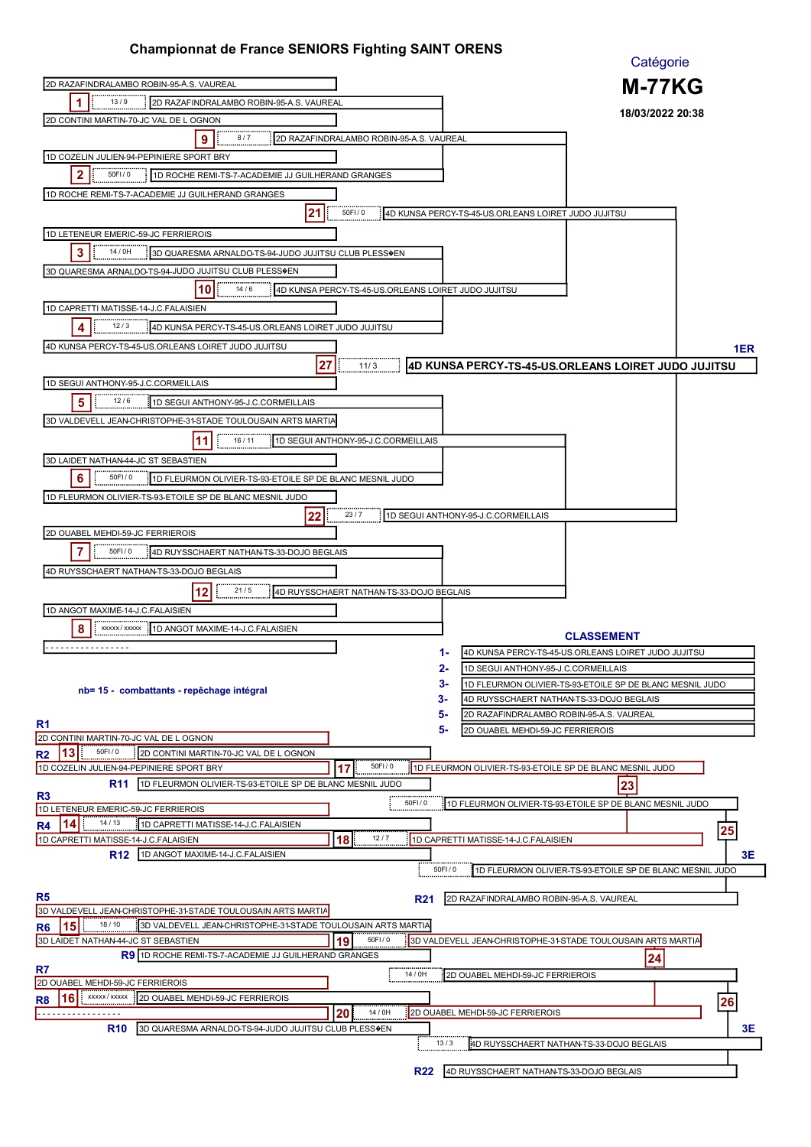|                                                                                                                                                   |        |         |            |          |                                                     | Catégorie                                                    |     |
|---------------------------------------------------------------------------------------------------------------------------------------------------|--------|---------|------------|----------|-----------------------------------------------------|--------------------------------------------------------------|-----|
| 2D RAZAFINDRALAMBO ROBIN-95-A.S. VAUREAL                                                                                                          |        |         |            |          |                                                     | <b>M-77KG</b>                                                |     |
| 13/9<br>1<br>2D RAZAFINDRALAMBO ROBIN-95-A.S. VAUREAL                                                                                             |        |         |            |          |                                                     |                                                              |     |
| 2D CONTINI MARTIN-70-JC VAL DE L OGNON                                                                                                            |        |         |            |          |                                                     | 18/03/2022 20:38                                             |     |
| 8/7<br>9<br>2D RAZAFINDRALAMBO ROBIN-95-A.S. VAUREAL                                                                                              |        |         |            |          |                                                     |                                                              |     |
| 1D COZELIN JULIEN-94-PEPINIERE SPORT BRY                                                                                                          |        |         |            |          |                                                     |                                                              |     |
| 2<br>50FI/0<br>1D ROCHE REMI-TS-7-ACADEMIE JJ GUILHERAND GRANGES                                                                                  |        |         |            |          |                                                     |                                                              |     |
|                                                                                                                                                   |        |         |            |          |                                                     |                                                              |     |
| 1D ROCHE REMI-TS-7-ACADEMIE JJ GUILHERAND GRANGES                                                                                                 |        |         |            |          |                                                     |                                                              |     |
| 21                                                                                                                                                | 50FI/0 |         |            |          | 4D KUNSA PERCY-TS-45-US.ORLEANS LOIRET JUDO JUJITSU |                                                              |     |
| 1D LETENEUR EMERIC-59-JC FERRIEROIS                                                                                                               |        |         |            |          |                                                     |                                                              |     |
| 3<br>14 / 0H<br>3D QUARESMA ARNALDO-TS-94-JUDO JUJITSU CLUB PLESSOEN                                                                              |        |         |            |          |                                                     |                                                              |     |
| 3D QUARESMA ARNALDO-TS-94-JUDO JUJITSU CLUB PLESSOEN                                                                                              |        |         |            |          |                                                     |                                                              |     |
| 10<br>14/6                                                                                                                                        |        |         |            |          | 4D KUNSA PERCY-TS-45-US.ORLEANS LOIRET JUDO JUJITSU |                                                              |     |
| 1D CAPRETTI MATISSE-14-J.C.FALAISIEN                                                                                                              |        |         |            |          |                                                     |                                                              |     |
| 12/3<br>4<br>4D KUNSA PERCY-TS-45-US.ORLEANS LOIRET JUDO JUJITSU                                                                                  |        |         |            |          |                                                     |                                                              |     |
| 4D KUNSA PERCY-TS-45-US.ORLEANS LOIRET JUDO JUJITSU                                                                                               |        |         |            |          |                                                     |                                                              | 1ER |
| 27                                                                                                                                                |        | 11/3    |            |          |                                                     | 4D KUNSA PERCY-TS-45-US.ORLEANS LOIRET JUDO JUJITSU          |     |
| 1D SEGUI ANTHONY-95-J.C.CORMEILLAIS                                                                                                               |        |         |            |          |                                                     |                                                              |     |
| 5<br>12/6<br>1D SEGUI ANTHONY-95-J.C.CORMEILLAIS                                                                                                  |        |         |            |          |                                                     |                                                              |     |
|                                                                                                                                                   |        |         |            |          |                                                     |                                                              |     |
| 3D VALDEVELL JEAN-CHRISTOPHE-31-STADE TOULOUSAIN ARTS MARTIA                                                                                      |        |         |            |          |                                                     |                                                              |     |
| 11<br>1D SEGUI ANTHONY-95-J.C.CORMEILLAIS<br>16/11                                                                                                |        |         |            |          |                                                     |                                                              |     |
| 3D LAIDET NATHAN-44-JC ST SEBASTIEN                                                                                                               |        |         |            |          |                                                     |                                                              |     |
| 6<br>50FI/0<br>1D FLEURMON OLIVIER-TS-93-ETOILE SP DE BLANC MESNIL JUDO                                                                           |        |         |            |          |                                                     |                                                              |     |
| 1D FLEURMON OLIVIER-TS-93-ETOILE SP DE BLANC MESNIL JUDO                                                                                          |        |         |            |          |                                                     |                                                              |     |
| 22                                                                                                                                                | 23/7   |         |            |          | 1D SEGUI ANTHONY-95-J.C.CORMEILLAIS                 |                                                              |     |
| 2D OUABEL MEHDI-59-JC FERRIEROIS                                                                                                                  |        |         |            |          |                                                     |                                                              |     |
| 7<br>50FI/0<br>4D RUYSSCHAERT NATHAN-TS-33-DOJO BEGLAIS                                                                                           |        |         |            |          |                                                     |                                                              |     |
| 4D RUYSSCHAERT NATHAN-TS-33-DOJO BEGLAIS                                                                                                          |        |         |            |          |                                                     |                                                              |     |
| 12<br>21/5<br>4D RUYSSCHAERT NATHAN-TS-33-DOJO BEGLAIS                                                                                            |        |         |            |          |                                                     |                                                              |     |
| 1D ANGOT MAXIME-14-J.C.FALAISIEN                                                                                                                  |        |         |            |          |                                                     |                                                              |     |
| 8<br>xxxxx/xxxxx<br>1D ANGOT MAXIME-14-J.C.FALAISIEN                                                                                              |        |         |            |          |                                                     |                                                              |     |
|                                                                                                                                                   |        |         |            |          |                                                     | <b>CLASSEMENT</b>                                            |     |
|                                                                                                                                                   |        |         |            | 1-       |                                                     | 4D KUNSA PERCY-TS-45-US.ORLEANS LOIRET JUDO JUJITSU          |     |
|                                                                                                                                                   |        |         |            | 2-       | 1D SEGUI ANTHONY-95-J.C.CORMEILLAIS                 |                                                              |     |
| nb= 15 - combattants - repêchage intégral                                                                                                         |        |         |            | 3-<br>3- | 4D RUYSSCHAERT NATHAN-TS-33-DOJO BEGLAIS            | 1D FLEURMON OLIVIER-TS-93-ETOILE SP DE BLANC MESNIL JUDO     |     |
|                                                                                                                                                   |        |         |            | 5-       | 2D RAZAFINDRALAMBO ROBIN-95-A.S. VAUREAL            |                                                              |     |
| R1                                                                                                                                                |        |         |            | 5-       | 2D OUABEL MEHDI-59-JC FERRIEROIS                    |                                                              |     |
| 2D CONTINI MARTIN-70-JC VAL DE L OGNON<br>50FI/0<br>13<br>2D CONTINI MARTIN-70-JC VAL DE L OGNON                                                  |        |         |            |          |                                                     |                                                              |     |
| R2<br>1D COZELIN JULIEN-94-PEPINIERE SPORT BRY                                                                                                    | 17     | 50FI/0  |            |          |                                                     | 1D FLEURMON OLIVIER-TS-93-ETOILE SP DE BLANC MESNIL JUDO     |     |
| 1D FLEURMON OLIVIER-TS-93-ETOILE SP DE BLANC MESNIL JUDO<br><b>R11</b>                                                                            |        |         |            |          |                                                     | 23                                                           |     |
| R <sub>3</sub>                                                                                                                                    |        |         | 50FI/0     |          |                                                     | 1D FLEURMON OLIVIER-TS-93-ETOILE SP DE BLANC MESNIL JUDO     |     |
| 1D LETENEUR EMERIC-59-JC FERRIEROIS                                                                                                               |        |         |            |          |                                                     |                                                              |     |
| 14 / 13<br>1D CAPRETTI MATISSE-14-J.C.FALAISIEN<br>R4<br>1D CAPRETTI MATISSE-14-J.C.FALAISIEN                                                     | 18     | 12/7    |            |          | 1D CAPRETTI MATISSE-14-J.C.FALAISIEN                |                                                              | 25  |
| 1D ANGOT MAXIME-14-J.C.FALAISIEN<br><b>R12</b>                                                                                                    |        |         |            |          |                                                     |                                                              | 3Е  |
|                                                                                                                                                   |        |         |            | 50FI/0   |                                                     | 1D FLEURMON OLIVIER-TS-93-ETOILE SP DE BLANC MESNIL JUDO     |     |
|                                                                                                                                                   |        |         |            |          |                                                     |                                                              |     |
| R5                                                                                                                                                |        |         | <b>R21</b> |          | 2D RAZAFINDRALAMBO ROBIN-95-A.S. VAUREAL            |                                                              |     |
| 3D VALDEVELL JEAN-CHRISTOPHE-31-STADE TOULOUSAIN ARTS MARTIA<br>18/10<br>3D VALDEVELL JEAN-CHRISTOPHE-31-STADE TOULOUSAIN ARTS MARTIA<br>R6<br>15 |        |         |            |          |                                                     |                                                              |     |
| 3D LAIDET NATHAN-44-JC ST SEBASTIEN                                                                                                               | 19     | 50FI/0  |            |          |                                                     | 3D VALDEVELL JEAN-CHRISTOPHE-31-STADE TOULOUSAIN ARTS MARTIA |     |
| R9 1D ROCHE REMI-TS-7-ACADEMIE JJ GUILHERAND GRANGES                                                                                              |        |         |            |          |                                                     | 24                                                           |     |
| R7                                                                                                                                                |        |         | 14 / 0H    |          | 2D OUABEL MEHDI-59-JC FERRIEROIS                    |                                                              |     |
| 2D OUABEL MEHDI-59-JC FERRIEROIS<br>XXXXX/ XXXXX                                                                                                  |        |         |            |          |                                                     |                                                              |     |
| 2D OUABEL MEHDI-59-JC FERRIEROIS<br>R8<br>16<br>.                                                                                                 | 20     | 14 / 0H |            |          | 2D OUABEL MEHDI-59-JC FERRIEROIS                    |                                                              | 26  |
| <b>R10</b><br>3D QUARESMA ARNALDO-TS-94-JUDO JUJITSU CLUB PLESSOEN                                                                                |        |         |            |          |                                                     |                                                              | 3Е  |
|                                                                                                                                                   |        |         |            | 13/3     |                                                     | 4D RUYSSCHAERT NATHAN-TS-33-DOJO BEGLAIS                     |     |
|                                                                                                                                                   |        |         |            |          |                                                     |                                                              |     |
|                                                                                                                                                   |        |         | <b>R22</b> |          | 4D RUYSSCHAERT NATHAN-TS-33-DOJO BEGLAIS            |                                                              |     |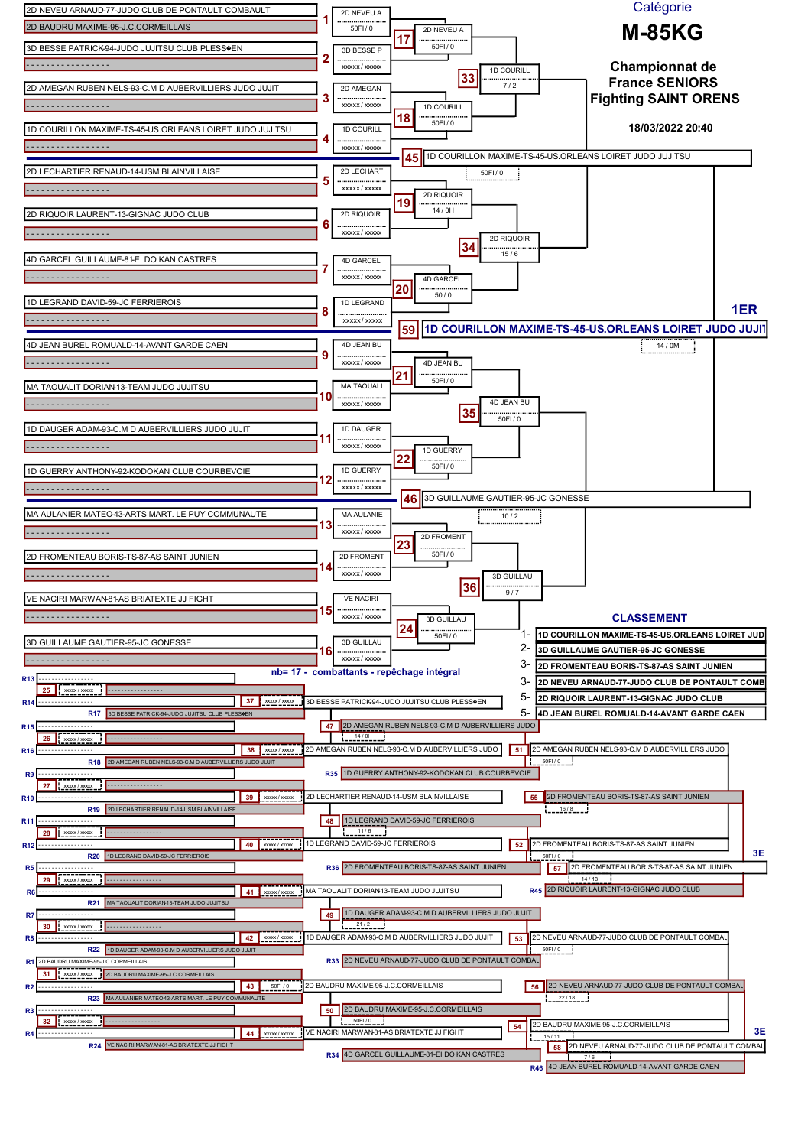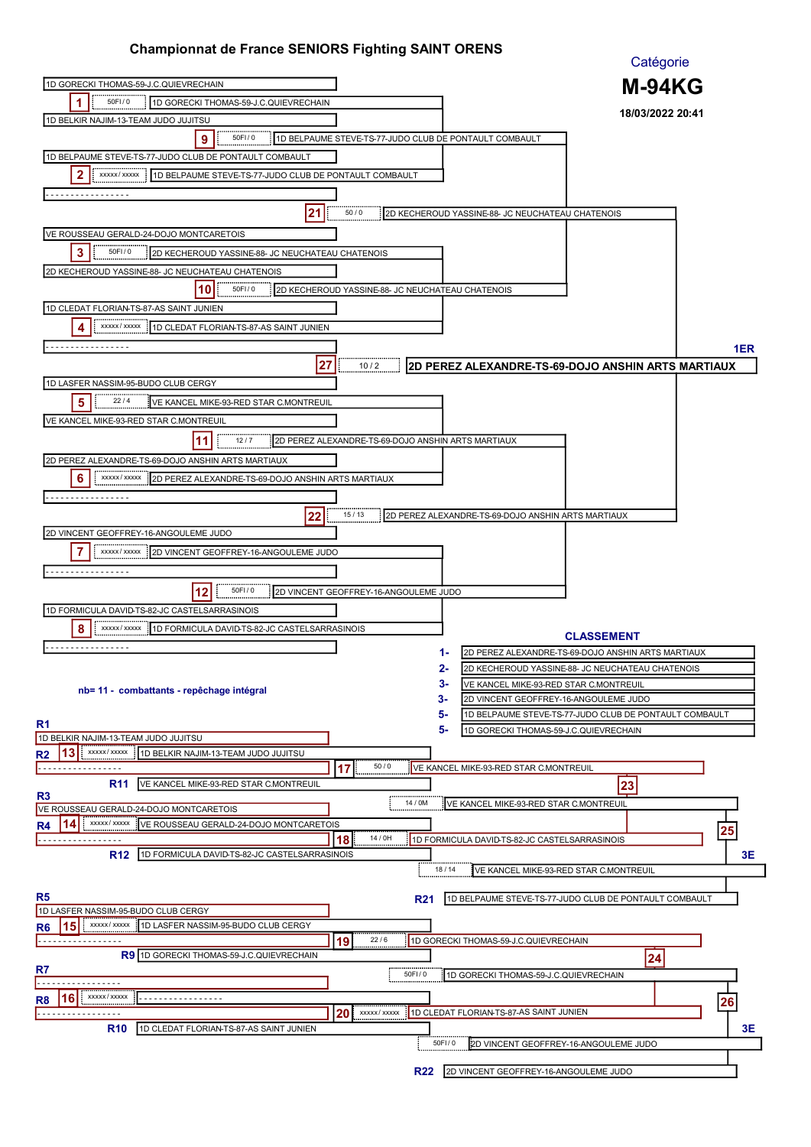|                                                                            |       |                                                    |         |                                                        | Catégorie                                              |     |
|----------------------------------------------------------------------------|-------|----------------------------------------------------|---------|--------------------------------------------------------|--------------------------------------------------------|-----|
| 1D GORECKI THOMAS-59-J.C.QUIEVRECHAIN                                      |       |                                                    |         |                                                        | <b>M-94KG</b>                                          |     |
| 50FI/0<br>1<br>1D GORECKI THOMAS-59-J.C.QUIEVRECHAIN                       |       |                                                    |         |                                                        |                                                        |     |
| 1D BELKIR NAJIM-13-TEAM JUDO JUJITSU                                       |       |                                                    |         |                                                        | 18/03/2022 20:41                                       |     |
| 50FI/0<br>9                                                                |       |                                                    |         | 1D BELPAUME STEVE-TS-77-JUDO CLUB DE PONTAULT COMBAULT |                                                        |     |
| 1D BELPAUME STEVE-TS-77-JUDO CLUB DE PONTAULT COMBAULT                     |       |                                                    |         |                                                        |                                                        |     |
| 2<br>1D BELPAUME STEVE-TS-77-JUDO CLUB DE PONTAULT COMBAULT<br>XXXXX/XXXXX |       |                                                    |         |                                                        |                                                        |     |
|                                                                            |       |                                                    |         |                                                        |                                                        |     |
|                                                                            |       |                                                    |         |                                                        |                                                        |     |
| 21                                                                         | 50/0  |                                                    |         | 2D KECHEROUD YASSINE-88- JC NEUCHATEAU CHATENOIS       |                                                        |     |
| VE ROUSSEAU GERALD-24-DOJO MONTCARETOIS                                    |       |                                                    |         |                                                        |                                                        |     |
| 3<br>50FI/0<br>2D KECHEROUD YASSINE-88- JC NEUCHATEAU CHATENOIS            |       |                                                    |         |                                                        |                                                        |     |
| 2D KECHEROUD YASSINE-88- JC NEUCHATEAU CHATENOIS                           |       |                                                    |         |                                                        |                                                        |     |
| 10<br>50FI/0                                                               |       | 2D KECHEROUD YASSINE-88- JC NEUCHATEAU CHATENOIS   |         |                                                        |                                                        |     |
| 1D CLEDAT FLORIAN-TS-87-AS SAINT JUNIEN                                    |       |                                                    |         |                                                        |                                                        |     |
| XXXXX/XXXXX<br>4<br>1D CLEDAT FLORIAN-TS-87-AS SAINT JUNIEN                |       |                                                    |         |                                                        |                                                        |     |
| --------------                                                             |       |                                                    |         |                                                        |                                                        | 1ER |
| 27                                                                         | 10/2  |                                                    |         | 2D PEREZ ALEXANDRE-TS-69-DOJO ANSHIN ARTS MARTIAUX     |                                                        |     |
| 1D LASFER NASSIM-95-BUDO CLUB CERGY                                        |       |                                                    |         |                                                        |                                                        |     |
| 5<br>22/4<br>VE KANCEL MIKE-93-RED STAR C.MONTREUIL                        |       |                                                    |         |                                                        |                                                        |     |
| VE KANCEL MIKE-93-RED STAR C.MONTREUIL                                     |       |                                                    |         |                                                        |                                                        |     |
| 11<br>12/7                                                                 |       | 2D PEREZ ALEXANDRE-TS-69-DOJO ANSHIN ARTS MARTIAUX |         |                                                        |                                                        |     |
|                                                                            |       |                                                    |         |                                                        |                                                        |     |
| 2D PEREZ ALEXANDRE-TS-69-DOJO ANSHIN ARTS MARTIAUX                         |       |                                                    |         |                                                        |                                                        |     |
| XXXXX/XXXXX<br>6<br>2D PEREZ ALEXANDRE-TS-69-DOJO ANSHIN ARTS MARTIAUX     |       |                                                    |         |                                                        |                                                        |     |
| ------------                                                               |       |                                                    |         |                                                        |                                                        |     |
| 22                                                                         | 15/13 |                                                    |         | 2D PEREZ ALEXANDRE-TS-69-DOJO ANSHIN ARTS MARTIAUX     |                                                        |     |
| 2D VINCENT GEOFFREY-16-ANGOULEME JUDO                                      |       |                                                    |         |                                                        |                                                        |     |
| XXXXX/XXXXX<br>2D VINCENT GEOFFREY-16-ANGOULEME JUDO                       |       |                                                    |         |                                                        |                                                        |     |
| ---------------                                                            |       |                                                    |         |                                                        |                                                        |     |
| 12<br>50FI/0                                                               |       | 2D VINCENT GEOFFREY-16-ANGOULEME JUDO              |         |                                                        |                                                        |     |
| 1D FORMICULA DAVID-TS-82-JC CASTELSARRASINOIS                              |       |                                                    |         |                                                        |                                                        |     |
| 8<br>1D FORMICULA DAVID-TS-82-JC CASTELSARRASINOIS<br>xxxxx/xxxxx          |       |                                                    |         |                                                        | <b>CLASSEMENT</b>                                      |     |
| .                                                                          |       |                                                    | 1-      | 2D PEREZ ALEXANDRE-TS-69-DOJO ANSHIN ARTS MARTIAUX     |                                                        |     |
|                                                                            |       |                                                    | 2-      | 2D KECHEROUD YASSINE-88- JC NEUCHATEAU CHATENOIS       |                                                        |     |
| nb= 11 - combattants - repêchage intégral                                  |       |                                                    | 3-      | VE KANCEL MIKE-93-RED STAR C.MONTREUIL                 |                                                        |     |
|                                                                            |       |                                                    | 3-      | 2D VINCENT GEOFFREY-16-ANGOULEME JUDO                  |                                                        |     |
| R1                                                                         |       |                                                    | 5-      |                                                        | 1D BELPAUME STEVE-TS-77-JUDO CLUB DE PONTAULT COMBAULT |     |
| 1D BELKIR NAJIM-13-TEAM JUDO JUJITSU                                       |       |                                                    | 5-      | 1D GORECKI THOMAS-59-J.C.QUIEVRECHAIN                  |                                                        |     |
| XXXXX/ XXXXX<br>13<br>1D BELKIR NAJIM-13-TEAM JUDO JUJITSU<br>R2           |       |                                                    |         |                                                        |                                                        |     |
| . <u>.</u>                                                                 | 17    | 50/0                                               |         | VE KANCEL MIKE-93-RED STAR C.MONTREUIL                 |                                                        |     |
| VE KANCEL MIKE-93-RED STAR C.MONTREUIL<br><b>R11</b><br>R <sub>3</sub>     |       |                                                    |         |                                                        | 23                                                     |     |
| VE ROUSSEAU GERALD-24-DOJO MONTCARETOIS                                    |       | 14 / 0M<br>                                        |         | VE KANCEL MIKE-93-RED STAR C.MONTREUIL                 |                                                        |     |
| xxxxx/xxxxx<br>VE ROUSSEAU GERALD-24-DOJO MONTCARETOIS<br>R <sub>4</sub>   |       |                                                    |         |                                                        |                                                        | 25  |
| .                                                                          | 18    | 14 / 0H                                            |         | 1D FORMICULA DAVID-TS-82-JC CASTELSARRASINOIS          |                                                        |     |
| 1D FORMICULA DAVID-TS-82-JC CASTELSARRASINOIS<br><b>R12</b>                |       |                                                    |         |                                                        |                                                        | 3Е  |
|                                                                            |       |                                                    | 18 / 14 | VE KANCEL MIKE-93-RED STAR C.MONTREUIL                 |                                                        |     |
| R5                                                                         |       | <b>R21</b>                                         |         | 1D BELPAUME STEVE-TS-77-JUDO CLUB DE PONTAULT COMBAULT |                                                        |     |
| 1D LASFER NASSIM-95-BUDO CLUB CERGY                                        |       |                                                    |         |                                                        |                                                        |     |
| xxxxx/ xxxx   1D LASFER NASSIM-95-BUDO CLUB CERGY<br>R6<br>15              |       |                                                    |         |                                                        |                                                        |     |
| .                                                                          | 19    | 22/6                                               |         | 1D GORECKI THOMAS-59-J.C.QUIEVRECHAIN                  |                                                        |     |
| R9 1D GORECKI THOMAS-59-J.C.QUIEVRECHAIN<br>R7                             |       |                                                    |         |                                                        | 24                                                     |     |
|                                                                            |       | 50FI/0                                             |         | 1D GORECKI THOMAS-59-J.C.QUIEVRECHAIN                  |                                                        |     |
| XXXXX/XXXXX<br>16<br>.<br>R8                                               |       |                                                    |         |                                                        |                                                        | 26  |
| .                                                                          | 20    | xxxxx/xxxxx                                        |         | 1D CLEDAT FLORIAN-TS-87-AS SAINT JUNIEN                |                                                        |     |
| <b>R10</b><br>1D CLEDAT FLORIAN-TS-87-AS SAINT JUNIEN                      |       |                                                    |         |                                                        |                                                        | 3Е  |
|                                                                            |       |                                                    | 50FI/0  | 2D VINCENT GEOFFREY-16-ANGOULEME JUDO                  |                                                        |     |
|                                                                            |       | <b>R22</b>                                         |         | 2D VINCENT GEOFFREY-16-ANGOULEME JUDO                  |                                                        |     |